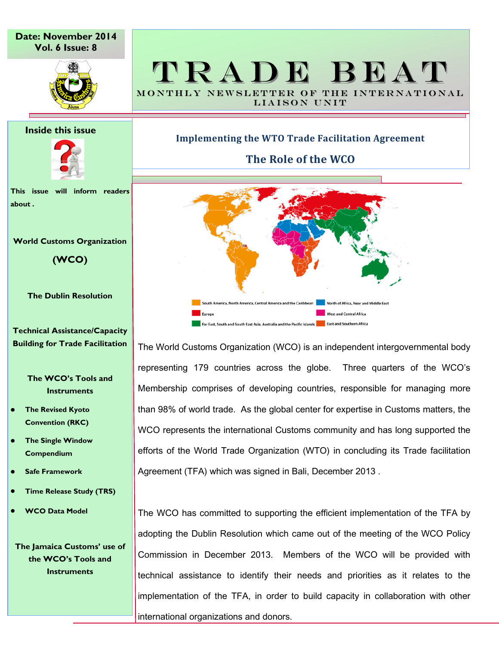**Date: November 2014 Vol. 6 Issue: 8**



# TRADE BEAT MONTHLY NEWSLETTER OF THE INTERNATIONAL

LIAISON UNIT

**Inside this issue**



**This issue will inform readers about .**

#### **World Customs Organization**

**(WCO)** 

**The Dublin Resolution**

**Technical Assistance/Capacity Building for Trade Facilitation**

> **The WCO's Tools and Instruments**

- **The Revised Kyoto Convention (RKC)**
- **The Single Window Compendium**
- **Safe Framework**
- **Time Release Study (TRS)**
- **WCO Data Model**

**The Jamaica Customs' use of the WCO's Tools and Instruments**

# **Implementing the WTO Trade Facilitation Agreement**

**The Role of the WCO**



The World Customs Organization (WCO) is an independent intergovernmental body representing 179 countries across the globe. Three quarters of the WCO's Membership comprises of developing countries, responsible for managing more than 98% of world trade. As the global center for expertise in Customs matters, the WCO represents the international Customs community and has long supported the efforts of the World Trade Organization (WTO) in concluding its Trade facilitation Agreement (TFA) which was signed in Bali, December 2013 .

The WCO has committed to supporting the efficient implementation of the TFA by adopting the Dublin Resolution which came out of the meeting of the WCO Policy Commission in December 2013. Members of the WCO will be provided with technical assistance to identify their needs and priorities as it relates to the implementation of the TFA, in order to build capacity in collaboration with other international organizations and donors.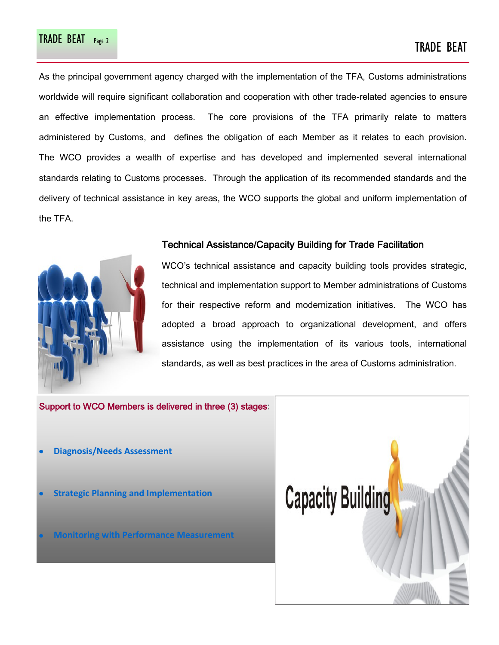# TRADE BEAT Page 2 TRADE BEAT

As the principal government agency charged with the implementation of the TFA, Customs administrations worldwide will require significant collaboration and cooperation with other trade-related agencies to ensure an effective implementation process. The core provisions of the TFA primarily relate to matters administered by Customs, and defines the obligation of each Member as it relates to each provision. The WCO provides a wealth of expertise and has developed and implemented several international standards relating to Customs processes. Through the application of its recommended standards and the delivery of technical assistance in key areas, the WCO supports the global and uniform implementation of the TFA.



### Technical Assistance/Capacity Building for Trade Facilitation

WCO's technical assistance and capacity building tools provides strategic, technical and implementation support to Member administrations of Customs for their respective reform and modernization initiatives. The WCO has adopted a broad approach to organizational development, and offers assistance using the implementation of its various tools, international standards, as well as best practices in the area of Customs administration.

Support to WCO Members is delivered in three (3) stages:

- **Diagnosis/Needs Assessment**
- **Strategic Planning and Implementation**
- **Monitoring with Performance Measure**

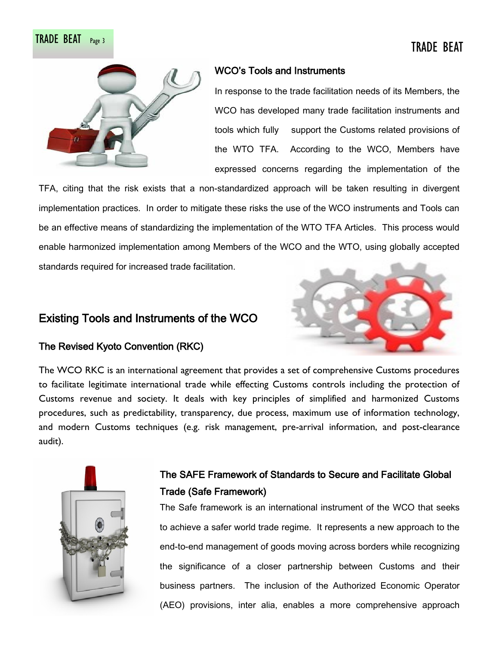# TRADE BEAT Page 3 TRADE BEAT



# WCO's Tools and Instruments

In response to the trade facilitation needs of its Members, the WCO has developed many trade facilitation instruments and tools which fully support the Customs related provisions of the WTO TFA. According to the WCO, Members have expressed concerns regarding the implementation of the

TFA, citing that the risk exists that a non-standardized approach will be taken resulting in divergent implementation practices. In order to mitigate these risks the use of the WCO instruments and Tools can be an effective means of standardizing the implementation of the WTO TFA Articles. This process would enable harmonized implementation among Members of the WCO and the WTO, using globally accepted standards required for increased trade facilitation.

# Existing Tools and Instruments of the WCO



# The Revised Kyoto Convention (RKC)

The WCO RKC is an international agreement that provides a set of comprehensive Customs procedures to facilitate legitimate international trade while effecting Customs controls including the protection of Customs revenue and society. It deals with key principles of simplified and harmonized Customs procedures, such as predictability, transparency, due process, maximum use of information technology, and modern Customs techniques (e.g. risk management, pre-arrival information, and post-clearance audit).



# The SAFE Framework of Standards to Secure and Facilitate Global Trade (Safe Framework)

The Safe framework is an international instrument of the WCO that seeks to achieve a safer world trade regime. It represents a new approach to the end-to-end management of goods moving across borders while recognizing the significance of a closer partnership between Customs and their business partners. The inclusion of the Authorized Economic Operator (AEO) provisions, inter alia, enables a more comprehensive approach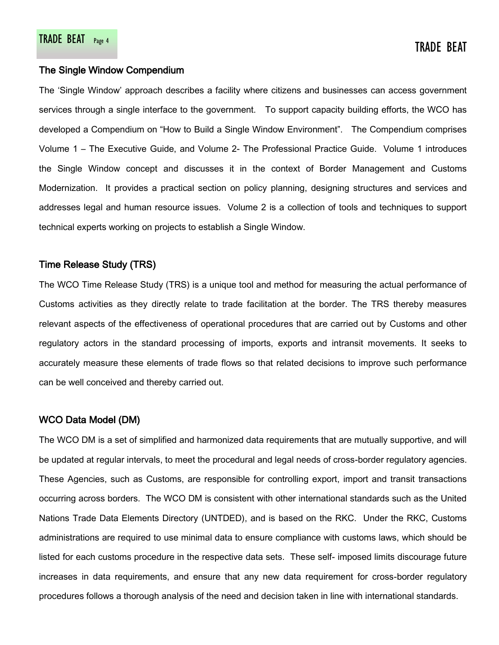### The Single Window Compendium

The 'Single Window' approach describes a facility where citizens and businesses can access government services through a single interface to the government. To support capacity building efforts, the WCO has developed a Compendium on "How to Build a Single Window Environment". The Compendium comprises Volume 1 – The Executive Guide, and Volume 2- The Professional Practice Guide. Volume 1 introduces the Single Window concept and discusses it in the context of Border Management and Customs Modernization. It provides a practical section on policy planning, designing structures and services and addresses legal and human resource issues. Volume 2 is a collection of tools and techniques to support technical experts working on projects to establish a Single Window.

### Time Release Study (TRS)

The WCO Time Release Study (TRS) is a unique tool and method for measuring the actual performance of Customs activities as they directly relate to trade facilitation at the border. The TRS thereby measures relevant aspects of the effectiveness of operational procedures that are carried out by Customs and other regulatory actors in the standard processing of imports, exports and intransit movements. It seeks to accurately measure these elements of trade flows so that related decisions to improve such performance can be well conceived and thereby carried out.

## WCO Data Model (DM)

The WCO DM is a set of simplified and harmonized data requirements that are mutually supportive, and will be updated at regular intervals, to meet the procedural and legal needs of cross-border regulatory agencies. These Agencies, such as Customs, are responsible for controlling export, import and transit transactions occurring across borders. The WCO DM is consistent with other international standards such as the United Nations Trade Data Elements Directory (UNTDED), and is based on the RKC. Under the RKC, Customs administrations are required to use minimal data to ensure compliance with customs laws, which should be listed for each customs procedure in the respective data sets. These self- imposed limits discourage future increases in data requirements, and ensure that any new data requirement for cross-border regulatory procedures follows a thorough analysis of the need and decision taken in line with international standards.